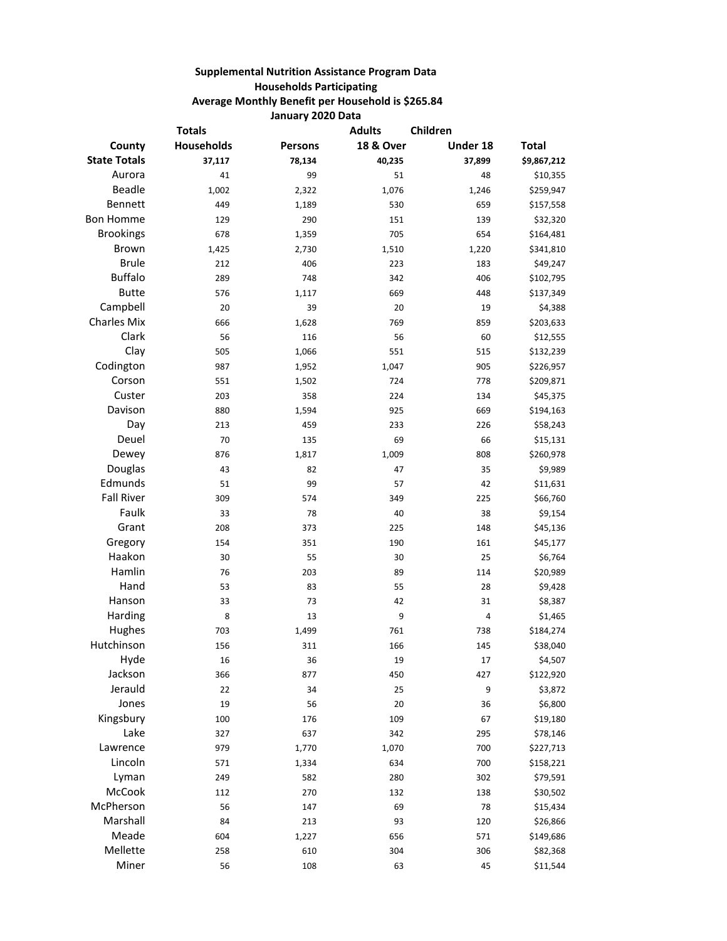## **Supplemental Nutrition Assistance Program Data Households Participating Average Monthly Benefit per Household is \$265.84 January 2020 Data**

| <b>Totals</b>       |                   |                | <b>Adults</b><br>Children |          |              |
|---------------------|-------------------|----------------|---------------------------|----------|--------------|
| County              | <b>Households</b> | <b>Persons</b> | <b>18 &amp; Over</b>      | Under 18 | <b>Total</b> |
| <b>State Totals</b> | 37,117            | 78,134         | 40,235                    | 37,899   | \$9,867,212  |
| Aurora              | 41                | 99             | 51                        | 48       | \$10,355     |
| <b>Beadle</b>       | 1,002             | 2,322          | 1,076                     | 1,246    | \$259,947    |
| Bennett             | 449               | 1,189          | 530                       | 659      | \$157,558    |
| <b>Bon Homme</b>    | 129               | 290            | 151                       | 139      | \$32,320     |
| <b>Brookings</b>    | 678               | 1,359          | 705                       | 654      | \$164,481    |
| <b>Brown</b>        | 1,425             | 2,730          | 1,510                     | 1,220    | \$341,810    |
| <b>Brule</b>        | 212               | 406            | 223                       | 183      | \$49,247     |
| <b>Buffalo</b>      | 289               | 748            | 342                       | 406      | \$102,795    |
| <b>Butte</b>        | 576               | 1,117          | 669                       | 448      | \$137,349    |
| Campbell            | 20                | 39             | 20                        | 19       | \$4,388      |
| <b>Charles Mix</b>  | 666               | 1,628          | 769                       | 859      | \$203,633    |
| Clark               | 56                | 116            | 56                        | 60       | \$12,555     |
| Clay                | 505               | 1,066          | 551                       | 515      | \$132,239    |
| Codington           | 987               | 1,952          | 1,047                     | 905      | \$226,957    |
| Corson              | 551               | 1,502          | 724                       | 778      | \$209,871    |
| Custer              | 203               | 358            | 224                       | 134      | \$45,375     |
| Davison             | 880               | 1,594          | 925                       | 669      | \$194,163    |
| Day                 | 213               | 459            | 233                       | 226      | \$58,243     |
| Deuel               | 70                | 135            | 69                        | 66       | \$15,131     |
| Dewey               | 876               | 1,817          | 1,009                     | 808      | \$260,978    |
| Douglas             | 43                | 82             | 47                        | 35       | \$9,989      |
| Edmunds             | 51                | 99             | 57                        | 42       | \$11,631     |
| <b>Fall River</b>   | 309               | 574            | 349                       | 225      | \$66,760     |
| Faulk               | 33                | 78             | 40                        | 38       | \$9,154      |
| Grant               | 208               | 373            | 225                       | 148      | \$45,136     |
| Gregory             | 154               | 351            | 190                       | 161      | \$45,177     |
| Haakon              | 30                | 55             | 30                        | 25       | \$6,764      |
| Hamlin              | 76                | 203            | 89                        | 114      | \$20,989     |
| Hand                | 53                | 83             | 55                        | 28       | \$9,428      |
| Hanson              | 33                | 73             | 42                        | 31       | \$8,387      |
| Harding             | 8                 | 13             | 9                         | 4        | \$1,465      |
| Hughes              | 703               | 1,499          | 761                       | 738      | \$184,274    |
| Hutchinson          | 156               | 311            | 166                       | 145      | \$38,040     |
| Hyde                | 16                | 36             | 19                        | 17       | \$4,507      |
| Jackson             | 366               | 877            | 450                       | 427      | \$122,920    |
| Jerauld             | 22                | 34             | 25                        | 9        | \$3,872      |
| Jones               | 19                | 56             | 20                        | 36       | \$6,800      |
| Kingsbury           | 100               | 176            | 109                       | 67       | \$19,180     |
| Lake                | 327               | 637            | 342                       | 295      | \$78,146     |
| Lawrence            | 979               | 1,770          | 1,070                     | 700      | \$227,713    |
| Lincoln             | 571               | 1,334          | 634                       | 700      | \$158,221    |
| Lyman               | 249               | 582            | 280                       | 302      | \$79,591     |
| McCook              | 112               | 270            | 132                       | 138      | \$30,502     |
| McPherson           | 56                | 147            | 69                        | 78       | \$15,434     |
| Marshall            | 84                | 213            | 93                        | 120      | \$26,866     |
| Meade               | 604               | 1,227          | 656                       | 571      | \$149,686    |
| Mellette            | 258               | 610            | 304                       | 306      | \$82,368     |
| Miner               | 56                | 108            | 63                        | 45       | \$11,544     |